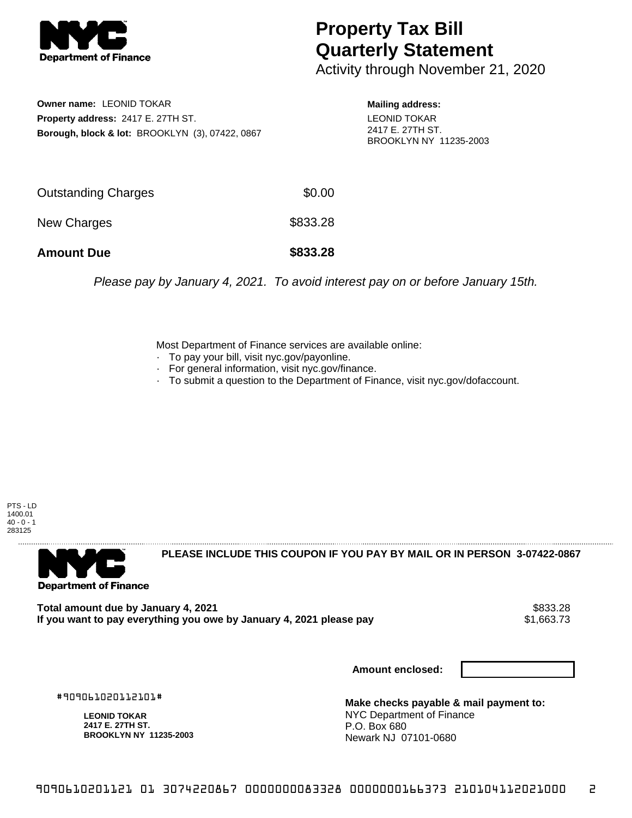

## **Property Tax Bill Quarterly Statement**

Activity through November 21, 2020

**Owner name:** LEONID TOKAR **Property address:** 2417 E. 27TH ST. **Borough, block & lot:** BROOKLYN (3), 07422, 0867 **Mailing address:** LEONID TOKAR 2417 E. 27TH ST. BROOKLYN NY 11235-2003

| <b>Amount Due</b>          | \$833.28 |
|----------------------------|----------|
| New Charges                | \$833.28 |
| <b>Outstanding Charges</b> | \$0.00   |

Please pay by January 4, 2021. To avoid interest pay on or before January 15th.

Most Department of Finance services are available online:

- · To pay your bill, visit nyc.gov/payonline.
- For general information, visit nyc.gov/finance.
- · To submit a question to the Department of Finance, visit nyc.gov/dofaccount.

PTS - LD 1400.01  $40 - 0 - 1$ 283125



**PLEASE INCLUDE THIS COUPON IF YOU PAY BY MAIL OR IN PERSON 3-07422-0867** 

Total amount due by January 4, 2021<br>If you want to pay everything you owe by January 4, 2021 please pay **ship in the set of the set of the set of** 1,663.73 If you want to pay everything you owe by January 4, 2021 please pay

**Amount enclosed:**

#909061020112101#

**LEONID TOKAR 2417 E. 27TH ST. BROOKLYN NY 11235-2003**

**Make checks payable & mail payment to:** NYC Department of Finance P.O. Box 680 Newark NJ 07101-0680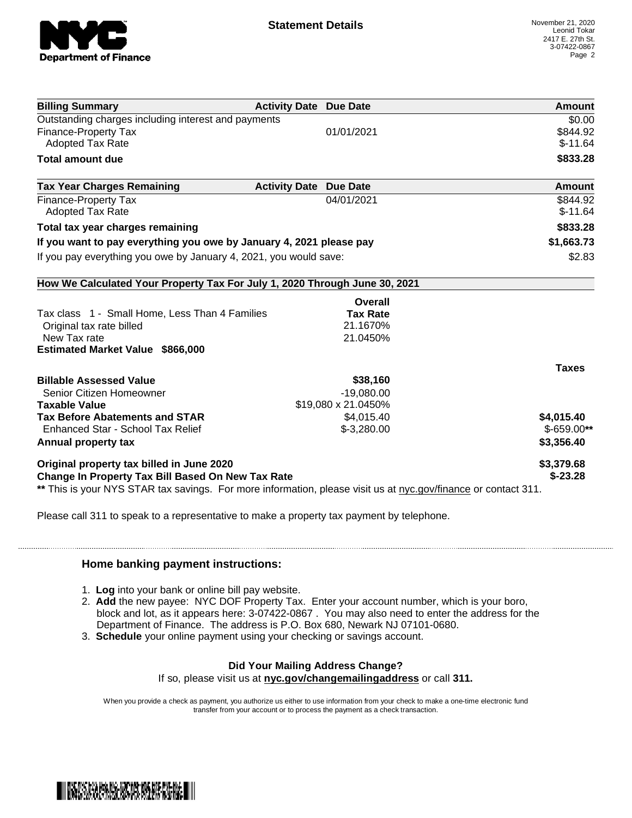

| <b>Billing Summary</b>                                                                                         | <b>Activity Date Due Date</b> |                 | Amount       |
|----------------------------------------------------------------------------------------------------------------|-------------------------------|-----------------|--------------|
| Outstanding charges including interest and payments                                                            |                               |                 | \$0.00       |
| <b>Finance-Property Tax</b>                                                                                    |                               | 01/01/2021      | \$844.92     |
| <b>Adopted Tax Rate</b>                                                                                        |                               |                 | $$-11.64$    |
| <b>Total amount due</b>                                                                                        |                               |                 | \$833.28     |
| <b>Tax Year Charges Remaining</b>                                                                              | <b>Activity Date</b>          | <b>Due Date</b> | Amount       |
| <b>Finance-Property Tax</b>                                                                                    |                               | 04/01/2021      | \$844.92     |
| Adopted Tax Rate                                                                                               |                               |                 | $$-11.64$    |
| Total tax year charges remaining                                                                               |                               |                 | \$833.28     |
| If you want to pay everything you owe by January 4, 2021 please pay                                            |                               |                 | \$1,663.73   |
| If you pay everything you owe by January 4, 2021, you would save:                                              |                               | \$2.83          |              |
| How We Calculated Your Property Tax For July 1, 2020 Through June 30, 2021                                     |                               |                 |              |
|                                                                                                                |                               | Overall         |              |
| Tax class 1 - Small Home, Less Than 4 Families                                                                 |                               | <b>Tax Rate</b> |              |
| Original tax rate billed                                                                                       |                               | 21.1670%        |              |
| New Tax rate                                                                                                   |                               | 21.0450%        |              |
| <b>Estimated Market Value \$866,000</b>                                                                        |                               |                 |              |
|                                                                                                                |                               |                 | <b>Taxes</b> |
| <b>Billable Assessed Value</b>                                                                                 |                               | \$38,160        |              |
| Senior Citizen Homeowner                                                                                       |                               | $-19,080.00$    |              |
| \$19,080 x 21.0450%<br><b>Taxable Value</b>                                                                    |                               |                 |              |
| <b>Tax Before Abatements and STAR</b>                                                                          |                               | \$4,015.40      | \$4,015.40   |
| Enhanced Star - School Tax Relief                                                                              |                               | $$-3,280.00$    | $$-659.00**$ |
| Annual property tax                                                                                            |                               |                 | \$3,356.40   |
| Original property tax billed in June 2020                                                                      |                               |                 | \$3,379.68   |
| Change In Property Tax Bill Based On New Tax Rate                                                              |                               |                 | $$-23.28$    |
| ** This is your NYS STAR tax savings. For more information, please visit us at nyc.gov/finance or contact 311. |                               |                 |              |

Please call 311 to speak to a representative to make a property tax payment by telephone.

## **Home banking payment instructions:**

- 1. **Log** into your bank or online bill pay website.
- 2. **Add** the new payee: NYC DOF Property Tax. Enter your account number, which is your boro, block and lot, as it appears here: 3-07422-0867 . You may also need to enter the address for the Department of Finance. The address is P.O. Box 680, Newark NJ 07101-0680.
- 3. **Schedule** your online payment using your checking or savings account.

## **Did Your Mailing Address Change?**

If so, please visit us at **nyc.gov/changemailingaddress** or call **311.**

When you provide a check as payment, you authorize us either to use information from your check to make a one-time electronic fund transfer from your account or to process the payment as a check transaction.